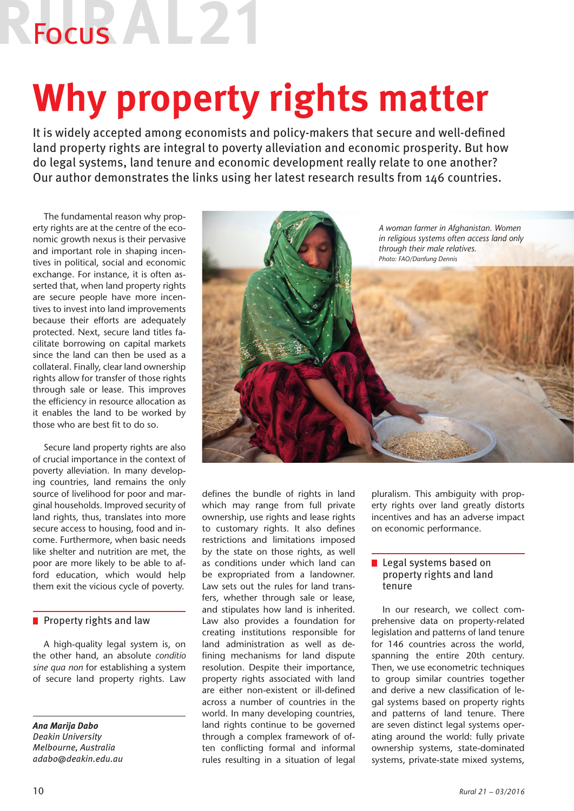## Focus AL<sub>2</sub>

### **Why property rights matter**

It is widely accepted among economists and policy-makers that secure and well-defined land property rights are integral to poverty alleviation and economic prosperity. But how do legal systems, land tenure and economic development really relate to one another? Our author demonstrates the links using her latest research results from 146 countries.

The fundamental reason why property rights are at the centre of the economic growth nexus is their pervasive and important role in shaping incentives in political, social and economic exchange. For instance, it is often asserted that, when land property rights are secure people have more incentives to invest into land improvements because their efforts are adequately protected. Next, secure land titles facilitate borrowing on capital markets since the land can then be used as a collateral. Finally, clear land ownership rights allow for transfer of those rights through sale or lease. This improves the efficiency in resource allocation as it enables the land to be worked by those who are best fit to do so.

Secure land property rights are also of crucial importance in the context of poverty alleviation. In many developing countries, land remains the only source of livelihood for poor and marginal households. Improved security of land rights, thus, translates into more secure access to housing, food and income. Furthermore, when basic needs like shelter and nutrition are met, the poor are more likely to be able to afford education, which would help them exit the vicious cycle of poverty.

### Property rights and law

A high-quality legal system is, on the other hand, an absolute *conditio sine qua non* for establishing a system of secure land property rights. Law

*Ana Marija Dabo Deakin University Melbourne, Australia adabo@deakin.edu.au*



defines the bundle of rights in land which may range from full private ownership, use rights and lease rights to customary rights. It also defines restrictions and limitations imposed by the state on those rights, as well as conditions under which land can be expropriated from a landowner. Law sets out the rules for land transfers, whether through sale or lease, and stipulates how land is inherited. Law also provides a foundation for creating institutions responsible for land administration as well as defining mechanisms for land dispute resolution. Despite their importance, property rights associated with land are either non-existent or ill-defined across a number of countries in the world. In many developing countries, land rights continue to be governed through a complex framework of often conflicting formal and informal rules resulting in a situation of legal pluralism. This ambiguity with property rights over land greatly distorts incentives and has an adverse impact on economic performance.

### **Legal systems based on** property rights and land tenure

In our research, we collect comprehensive data on property-related legislation and patterns of land tenure for 146 countries across the world, spanning the entire 20th century. Then, we use econometric techniques to group similar countries together and derive a new classification of legal systems based on property rights and patterns of land tenure. There are seven distinct legal systems operating around the world: fully private ownership systems, state-dominated systems, private-state mixed systems,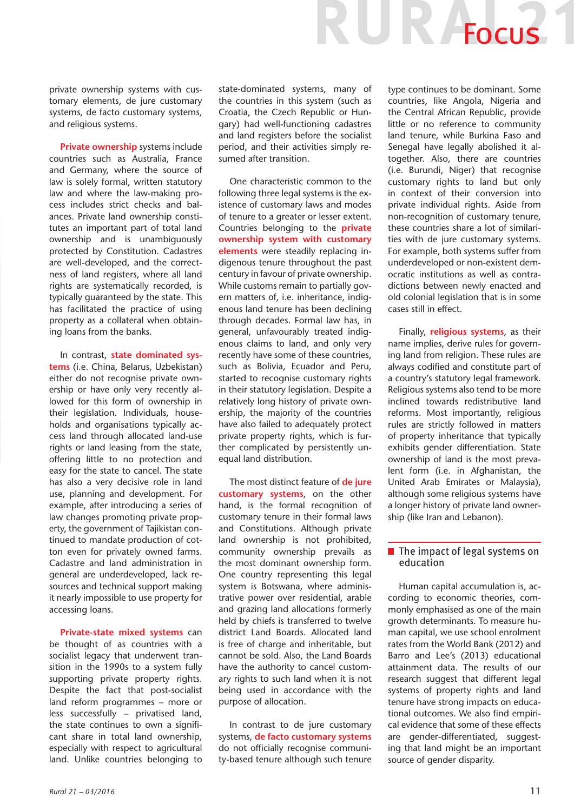private ownership systems with customary elements, de jure customary systems, de facto customary systems, and religious systems.

**Private ownership** systems include countries such as Australia, France and Germany, where the source of law is solely formal, written statutory law and where the law-making process includes strict checks and balances. Private land ownership constitutes an important part of total land ownership and is unambiguously protected by Constitution. Cadastres are well-developed, and the correctness of land registers, where all land rights are systematically recorded, is typically guaranteed by the state. This has facilitated the practice of using property as a collateral when obtaining loans from the banks.

In contrast, **state dominated systems** (i.e. China, Belarus, Uzbekistan) either do not recognise private ownership or have only very recently allowed for this form of ownership in their legislation. Individuals, households and organisations typically access land through allocated land-use rights or land leasing from the state, offering little to no protection and easy for the state to cancel. The state has also a very decisive role in land use, planning and development. For example, after introducing a series of law changes promoting private property, the government of Tajikistan continued to mandate production of cotton even for privately owned farms. Cadastre and land administration in general are underdeveloped, lack resources and technical support making it nearly impossible to use property for accessing loans.

**Private-state mixed systems** can be thought of as countries with a socialist legacy that underwent transition in the 1990s to a system fully supporting private property rights. Despite the fact that post-socialist land reform programmes – more or less successfully – privatised land, the state continues to own a significant share in total land ownership, especially with respect to agricultural land. Unlike countries belonging to state-dominated systems, many of the countries in this system (such as Croatia, the Czech Republic or Hungary) had well-functioning cadastres and land registers before the socialist period, and their activities simply resumed after transition.

One characteristic common to the following three legal systems is the existence of customary laws and modes of tenure to a greater or lesser extent. Countries belonging to the **private ownership system with customary elements** were steadily replacing indigenous tenure throughout the past century in favour of private ownership. While customs remain to partially govern matters of, i.e. inheritance, indigenous land tenure has been declining through decades. Formal law has, in general, unfavourably treated indigenous claims to land, and only very recently have some of these countries, such as Bolivia, Ecuador and Peru, started to recognise customary rights in their statutory legislation. Despite a relatively long history of private ownership, the majority of the countries have also failed to adequately protect private property rights, which is further complicated by persistently unequal land distribution.

The most distinct feature of **de jure customary systems**, on the other hand, is the formal recognition of customary tenure in their formal laws and Constitutions. Although private land ownership is not prohibited, community ownership prevails as the most dominant ownership form. One country representing this legal system is Botswana, where administrative power over residential, arable and grazing land allocations formerly held by chiefs is transferred to twelve district Land Boards. Allocated land is free of charge and inheritable, but cannot be sold. Also, the Land Boards have the authority to cancel customary rights to such land when it is not being used in accordance with the purpose of allocation.

In contrast to de jure customary systems, **de facto customary systems** do not officially recognise community-based tenure although such tenure type continues to be dominant. Some countries, like Angola, Nigeria and the Central African Republic, provide little or no reference to community land tenure, while Burkina Faso and Senegal have legally abolished it altogether. Also, there are countries (i.e. Burundi, Niger) that recognise customary rights to land but only in context of their conversion into private individual rights. Aside from non-recognition of customary tenure, these countries share a lot of similarities with de jure customary systems. For example, both systems suffer from underdeveloped or non-existent democratic institutions as well as contradictions between newly enacted and old colonial legislation that is in some cases still in effect.

UR Focus

Finally, **religious systems**, as their name implies, derive rules for governing land from religion. These rules are always codified and constitute part of a country's statutory legal framework. Religious systems also tend to be more inclined towards redistributive land reforms. Most importantly, religious rules are strictly followed in matters of property inheritance that typically exhibits gender differentiation. State ownership of land is the most prevalent form (i.e. in Afghanistan, the United Arab Emirates or Malaysia), although some religious systems have a longer history of private land ownership (like Iran and Lebanon).

### $\blacksquare$  The impact of legal systems on education

Human capital accumulation is, according to economic theories, commonly emphasised as one of the main growth determinants. To measure human capital, we use school enrolment rates from the World Bank (2012) and Barro and Lee's (2013) educational attainment data. The results of our research suggest that different legal systems of property rights and land tenure have strong impacts on educational outcomes. We also find empirical evidence that some of these effects are gender-differentiated, suggesting that land might be an important source of gender disparity.